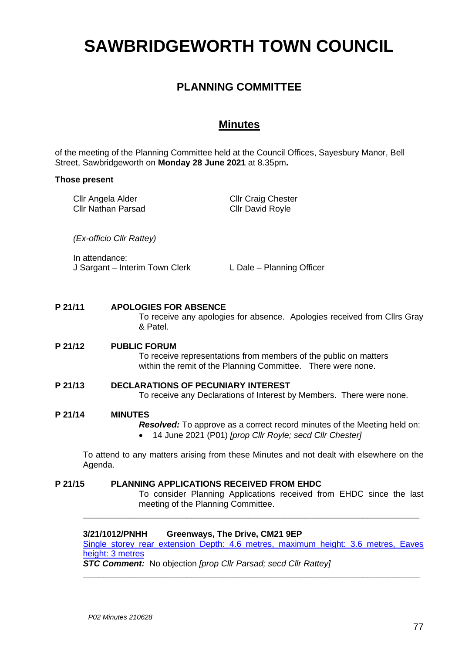# **SAWBRIDGEWORTH TOWN COUNCIL**

# **PLANNING COMMITTEE**

# **Minutes**

of the meeting of the Planning Committee held at the Council Offices, Sayesbury Manor, Bell Street, Sawbridgeworth on **Monday 28 June 2021** at 8.35pm**.**

#### **Those present**

| Cllr Angela Alder  | <b>Cllr Craig Chester</b> |
|--------------------|---------------------------|
| Cllr Nathan Parsad | <b>Cllr David Royle</b>   |
|                    |                           |

*(Ex-officio Cllr Rattey)*

In attendance: J Sargant – Interim Town Clerk L Dale – Planning Officer

# **P 21/11 APOLOGIES FOR ABSENCE**

To receive any apologies for absence. Apologies received from Cllrs Gray & Patel.

# **P 21/12 PUBLIC FORUM**

To receive representations from members of the public on matters within the remit of the Planning Committee. There were none.

#### **P 21/13 DECLARATIONS OF PECUNIARY INTEREST** To receive any Declarations of Interest by Members. There were none.

#### **P 21/14 MINUTES**

*Resolved:* To approve as a correct record minutes of the Meeting held on: • 14 June 2021 (P01) *[prop Cllr Royle; secd Cllr Chester]*

To attend to any matters arising from these Minutes and not dealt with elsewhere on the Agenda.

#### **P 21/15 PLANNING APPLICATIONS RECEIVED FROM EHDC** To consider Planning Applications received from EHDC since the last meeting of the Planning Committee.

# **3/21/1012/PNHH Greenways, The Drive, CM21 9EP**

[Single storey rear extension Depth: 4.6 metres, maximum height: 3.6 metres, Eaves](https://publicaccess.eastherts.gov.uk/online-applications/applicationDetails.do?activeTab=documents&keyVal=QRT3V1GL00X00)  [height: 3 metres](https://publicaccess.eastherts.gov.uk/online-applications/applicationDetails.do?activeTab=documents&keyVal=QRT3V1GL00X00)

**\_\_\_\_\_\_\_\_\_\_\_\_\_\_\_\_\_\_\_\_\_\_\_\_\_\_\_\_\_\_\_\_\_\_\_\_\_\_\_\_\_\_\_\_\_\_\_\_\_\_\_\_\_\_\_\_\_\_\_\_\_\_\_\_\_**

**\_\_\_\_\_\_\_\_\_\_\_\_\_\_\_\_\_\_\_\_\_\_\_\_\_\_\_\_\_\_\_\_\_\_\_\_\_\_\_\_\_\_\_\_\_\_\_\_\_\_\_\_\_\_\_\_\_\_\_\_\_\_\_\_\_**

*STC Comment:* No objection *[prop Cllr Parsad; secd Cllr Rattey]*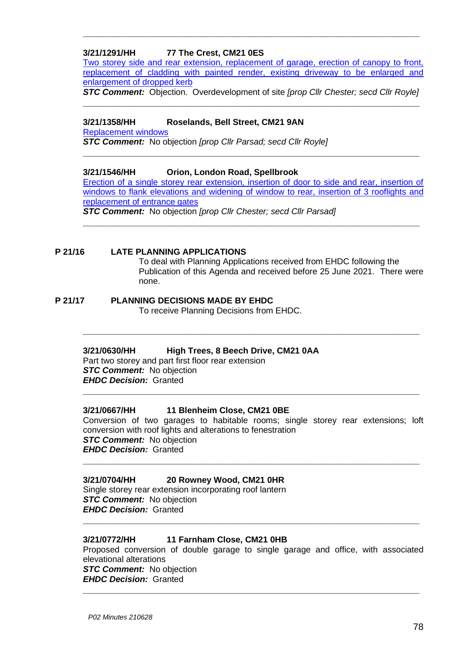# **3/21/1291/HH 77 The Crest, CM21 0ES**

[Two storey side and rear extension, replacement of garage, erection of canopy to front,](https://publicaccess.eastherts.gov.uk/online-applications/applicationDetails.do?activeTab=documents&keyVal=QT1WGWGLMOO00)  [replacement of cladding with painted render, existing driveway to be enlarged and](https://publicaccess.eastherts.gov.uk/online-applications/applicationDetails.do?activeTab=documents&keyVal=QT1WGWGLMOO00)  [enlargement of dropped kerb](https://publicaccess.eastherts.gov.uk/online-applications/applicationDetails.do?activeTab=documents&keyVal=QT1WGWGLMOO00)

**\_\_\_\_\_\_\_\_\_\_\_\_\_\_\_\_\_\_\_\_\_\_\_\_\_\_\_\_\_\_\_\_\_\_\_\_\_\_\_\_\_\_\_\_\_\_\_\_\_\_\_\_\_\_\_\_\_\_\_\_\_\_\_\_\_**

*STC Comment:* Objection. Overdevelopment of site *[prop Cllr Chester; secd Cllr Royle]* **\_\_\_\_\_\_\_\_\_\_\_\_\_\_\_\_\_\_\_\_\_\_\_\_\_\_\_\_\_\_\_\_\_\_\_\_\_\_\_\_\_\_\_\_\_\_\_\_\_\_\_\_\_\_\_\_\_\_\_\_\_\_\_\_\_**

# **3/21/1358/HH Roselands, Bell Street, CM21 9AN**

[Replacement windows](https://publicaccess.eastherts.gov.uk/online-applications/applicationDetails.do?activeTab=documents&keyVal=QTEJXXGLMTA00)

*STC Comment:* No objection *[prop Cllr Parsad; secd Cllr Royle]*

#### **3/21/1546/HH Orion, London Road, Spellbrook**

[Erection of a single storey rear extension, insertion of door to side and rear, insertion of](https://publicaccess.eastherts.gov.uk/online-applications/applicationDetails.do?activeTab=documents&keyVal=QUHFZFGLFG300)  [windows to flank elevations and widening of window to rear,](https://publicaccess.eastherts.gov.uk/online-applications/applicationDetails.do?activeTab=documents&keyVal=QUHFZFGLFG300) insertion of 3 rooflights and replacement [of entrance gates](https://publicaccess.eastherts.gov.uk/online-applications/applicationDetails.do?activeTab=documents&keyVal=QUHFZFGLFG300)

**\_\_\_\_\_\_\_\_\_\_\_\_\_\_\_\_\_\_\_\_\_\_\_\_\_\_\_\_\_\_\_\_\_\_\_\_\_\_\_\_\_\_\_\_\_\_\_\_\_\_\_\_\_\_\_\_\_\_\_\_\_\_\_\_\_**

*STC Comment:* No objection *[prop Cllr Chester; secd Cllr Parsad]* **\_\_\_\_\_\_\_\_\_\_\_\_\_\_\_\_\_\_\_\_\_\_\_\_\_\_\_\_\_\_\_\_\_\_\_\_\_\_\_\_\_\_\_\_\_\_\_\_\_\_\_\_\_\_\_\_\_\_\_\_\_\_\_\_\_**

#### **P 21/16 LATE PLANNING APPLICATIONS**

To deal with Planning Applications received from EHDC following the Publication of this Agenda and received before 25 June 2021. There were none.

# **P 21/17 PLANNING DECISIONS MADE BY EHDC**

To receive Planning Decisions from EHDC.

# **3/21/0630/HH High Trees, 8 Beech Drive, CM21 0AA**

Part two storey and part first floor rear extension *STC Comment:* No objection *EHDC Decision:* Granted

# **3/21/0667/HH 11 Blenheim Close, CM21 0BE**

Conversion of two garages to habitable rooms; single storey rear extensions; loft conversion with roof lights and alterations to fenestration **STC Comment:** No objection *EHDC Decision:* Granted **\_\_\_\_\_\_\_\_\_\_\_\_\_\_\_\_\_\_\_\_\_\_\_\_\_\_\_\_\_\_\_\_\_\_\_\_\_\_\_\_\_\_\_\_\_\_\_\_\_\_\_\_\_\_\_\_\_\_\_\_\_\_\_\_\_**

**\_\_\_\_\_\_\_\_\_\_\_\_\_\_\_\_\_\_\_\_\_\_\_\_\_\_\_\_\_\_\_\_\_\_\_\_\_\_\_\_\_\_\_\_\_\_\_\_\_\_\_\_\_\_\_\_\_\_\_\_\_\_\_\_\_**

**\_\_\_\_\_\_\_\_\_\_\_\_\_\_\_\_\_\_\_\_\_\_\_\_\_\_\_\_\_\_\_\_\_\_\_\_\_\_\_\_\_\_\_\_\_\_\_\_\_\_\_\_\_\_\_\_\_\_\_\_\_\_\_\_\_**

# **3/21/0704/HH 20 Rowney Wood, CM21 0HR**

Single storey rear extension incorporating roof lantern *STC Comment:* No objection *EHDC Decision:* Granted

# **3/21/0772/HH 11 Farnham Close, CM21 0HB**

Proposed conversion of double garage to single garage and office, with associated elevational alterations **STC Comment:** No objection *EHDC Decision:* Granted **\_\_\_\_\_\_\_\_\_\_\_\_\_\_\_\_\_\_\_\_\_\_\_\_\_\_\_\_\_\_\_\_\_\_\_\_\_\_\_\_\_\_\_\_\_\_\_\_\_\_\_\_\_\_\_\_\_\_\_\_\_\_\_\_\_**

**\_\_\_\_\_\_\_\_\_\_\_\_\_\_\_\_\_\_\_\_\_\_\_\_\_\_\_\_\_\_\_\_\_\_\_\_\_\_\_\_\_\_\_\_\_\_\_\_\_\_\_\_\_\_\_\_\_\_\_\_\_\_\_\_\_**